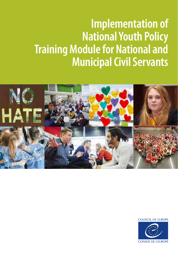# **Implementation of National Youth Policy Training Module for National and Municipal Civil Servants**



**COUNCIL OF EUROPE** 

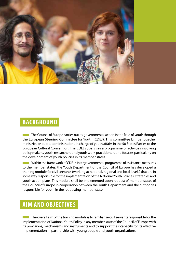

# **BACKGROUND**

**The Council of Europe carries out its governmental action in the field of youth through** the European Steering Committee for Youth (CDEJ). This committee brings together ministries or public administrations in charge of youth affairs in the 50 States Parties to the European Cultural Convention. The CDEJ supervises a programme of activities involving policy makers, youth researchers and youth work practitioners and focuses particularly on the development of youth policies in its member states.

**EXECUTE:** Within the framework of CDEJ's intergovernmental programme of assistance measures to the member states, the Youth Department of the Council of Europe has developed a training module for civil servants (working at national, regional and local levels) that are in some way responsible for the implementation of the National Youth Policies, strategies and youth action plans. This module shall be implemented upon request of member states of the Council of Europe in cooperation between the Youth Department and the authorities responsible for youth in the requesting member state.

# **AIM AND OBJECTIVES**

**The overall aim of the training module is to familiarise civil servants responsible for the** implementation of National Youth Policy in any member state of the Council of Europe with its provisions, mechanisms and instruments and to support their capacity for its effective implementation in partnership with young people and youth organisations.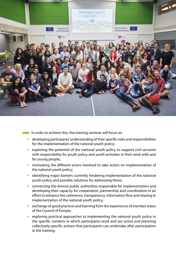

- **THE IN** Order to achieve this, the training seminar will focus on
	- $\blacktriangleright$  developing participants' understanding of their specific roles and responsibilities for the implementation of the national youth policy;
	- $\triangleright$  exploring the potential of the national youth policy to support civil servants with responsibility for youth policy and youth activities in their work with and for young people;
	- $\triangleright$  motivating the different actors involved to take action on implementation of the national youth policy;
	- $\blacktriangleright$  identifying major barriers currently hindering implementation of the national youth policy and possible solutions for addressing these;
	- $\triangleright$  connecting the diverse public authorities responsible for implementation and developing their capacity for cooperation, partnership and coordination in an effort to enhance the coherence, transparency, information flow and sharing in implementation of the national youth policy;
	- $\triangleright$  exchange of good practices and learning from the experiences of member states of the Council of Europe;
	- $\triangleright$  exploring practical approaches to implementing the national youth policy in the specific contexts in which participants work and are active and planning collectively specific actions that participants can undertake after participation in the training.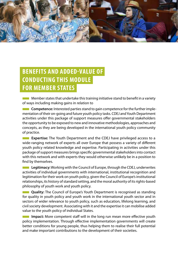

# **BENEFITS AND ADDED-VALUE OF CONDUCTING THIS MODULE FOR MEMBER STATES**

**THE Member states that undertake this training initiative stand to benefit in a variety** of ways including making gains in relation to

**Competence:** Interested parties stand to gain competence for the further implementation of their on-going and future youth policy tasks. CDEJ and Youth Department activities under this package of support measures offer governmental stakeholders the opportunity to be exposed to new and innovative methodologies, approaches and concepts, as they are being developed in the international youth policy community of practice.

**EXPERIENE:** The Youth Department and the CDEJ have privileged access to a wide-ranging network of experts all over Europe that possess a variety of different youth policy related knowledge and expertise. Participating in activities under this package of support measures brings specific governmental stakeholders into contact with this network and with experts they would otherwise unlikely be in a position to find by themselves.

**EXECUTE:** Legitimacy: Working with the Council of Europe, through the CDEJ, underwrites activities of individual governments with international, institutional recognition and legitimation for their work on youth policy, given the Council of Europe's institutional relationships, its history of standard setting, and the moral authority of its rights-based philosophy of youth work and youth policy.

**EXTE: Quality:** The Council of Europe's Youth Department is recognised as standing for quality in youth policy and youth work in the international youth sector and in sectors of wider relevance to youth policy, such as education, lifelong learning, and civil society development. Associating with it and the expertise it can mobilise added value to the youth policy of individual States.

**Impact:** More competent staff will in the long run mean more effective youth policy implementation. Through effective implementation governments will create better conditions for young people, thus helping them to realise their full potential and make important contributions to the development of their societies.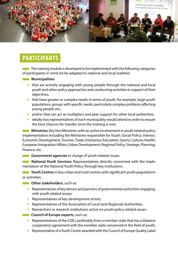

## **PARTICIPANTS**

 $\blacksquare$  The training module is developed to be implemented with the following categories of participants in mind (to be adapted to national and local realities)

#### ■ **Municipalities**

- $\triangleright$  that are actively engaging with young people through the national and local youth and other policy approaches and conducting activities in support of their objectives;
- $\blacktriangleright$  that have greater or complex needs in terms of youth, for example, large youth populations, groups with specific needs, particularly complex problems affecting young people etc;
- $\triangleright$  and/or that can act as multipliers and peer support for other local authorities;
- $\blacktriangleright$  ideally two representatives of each municipality would attend in order to ensure the best chances for transfer once the training is over.

**THE Ministries:** Key line Ministries with an active involvement in youth related policy implementation including the Ministries responsible for Youth; Social Policy; Interior; Economic Development, Tourism, Trade; Enterprise; Education; Sports; Culture; Health; European Integration/Affairs; Urban Development; Regional Policy, Strategic Planning; Finance, etc.

**EXECUTE:** Government agencies in charge of youth related issues.

**THE Mational Youth Services:** Representatives directly concerned with the implementation of the National Youth Policy through key institutions.

**THE Youth Centres** in key urban and rural centres with significant youth populations or activities;

- **Other stakeholders**, such as:
	- $\triangleright$  Representatives of key donors and partners of governmental authorities engaging; with youth related issues;
	- $\blacktriangleright$  Representatives of key development actors;
	- $\blacktriangleright$  Representatives of the Association of Local (and Regional) Authorities;
	- $\blacktriangleright$  Researchers or research institutions active on youth policy related issues.
- **EXECUTE:** Council of Europe experts, such as:
	- $\triangleright$  Representatives of the CDEJ, preferably from a member state that has a bilateral cooperation agreement with the member state concerned in the field of youth;
	- $\triangleright$  Representative of a Youth Centre awarded with the Council of Europe Quality Label.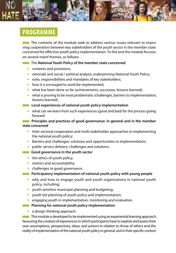

# **PROGRAMME**

 $\blacksquare$  The contents of the module seek to address various issues relevant to improving cooperation between key stakeholders of the youth sector in the member state concerned for effective youth policy implementation. To this end the module focuses on several mainf themes, as follows:

#### **The National Youth Policy of the member state concerned**

- $\triangleright$  contents and provisions:
- $\triangleright$  rationale and social / political analysis underpinning National Youth Policy;
- $\triangleright$  roles, responsibilities and mandates of key stakeholders;
- $\blacktriangleright$  how it is envisaged to work/be implemented;
- $\triangleright$  what has been done so far (achievements, successes, lessons learned);
- $\blacktriangleright$  what is proving to be most problematic (challenges, barriers to implementation, lessons learned).
- **EXP** Local experiences of national youth policy implementation
	- $\triangleright$  what can we learn from such experiences (good and bad) for the process going forward

#### **EXECUTE:** Principles and practices of good governance: in general and in the member **state concerned**

- $\blacktriangleright$  Inter-sectoral cooperation and multi stakeholder approaches to implementing the national youth policy;
- $\blacktriangleright$  Barriers and challenges: solutions and opportunities to implementation;
- $\blacktriangleright$  public service delivery: challenges and solutions.

#### **Example 3** Good governance in the youth sector

- $\blacktriangleright$  the ethics of youth policy;
- $\blacktriangleright$  metrics and accountability;
- $\blacktriangleright$  challenges to good governance.
- **EXTERNATION Participatory implementation of national youth policy with young people** 
	- $\triangleright$  why and how to engage youth and youth organisations in national youth policy, including;
	- $\triangleright$  youth sensitive municipal planning and budgeting;
	- $\triangleright$  youth led planning of youth policy and implementation;
	- $\triangleright$  engaging youth in implementation, monitoring and evaluation.
- **EXECUTE:** Planning for national youth policy implementation
	- $\blacktriangleright$  a design thinking approach.

 $\blacksquare$  This module is developed to be implemented using an experiential learning approach, favouring the creation of experiences in which participants have to explore and assess their own assumptions, perspectives, ideas, and actions in relation to those of others and the reality of implementation of the national youth policy in general, and in their specific context.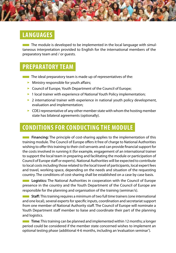

# **LANGUAGES**

**The module is developed to be implemented in the local language with simul**taneous interpretation provided to English for the international members of the preparatory team and / or guests.

## **PREPARATORY TEAM**

- **The ideal preparatory team is made up of representatives of the:** 
	- $\blacktriangleright$  Ministry responsible for youth affairs;
	- ▶ Council of Europe, Youth Department of the Council of Europe;
	- ▶ 1 local trainer with experience of National Youth Policy implementation;
	- $\triangleright$  2 international trainer with experience in national youth policy development, evaluation and implementation;
	- $\triangleright$  CDEJ representative of any other member state with whom the hosting member state has bilateral agreements (optionally).

# **CONDITIONS FOR CONDUCTING THE MODULE**

**EXECUTE:** Financing: The principle of cost-sharing applies to the implementation of this training module. The Council of Europe offers it free of charge to National Authorities wishing to offer this training to their civil servants and can provide financial support for the costs involved in running it (for example, engagement of an international trainer to support the local team in preparing and facilitating the module or participation of Council of Europe staff or experts). National Authorities will be expected to contribute to local costs including those related to the local travel of participants, local expert fees and travel, working space, depending on the needs and situation of the requesting country. The conditions of cost-sharing shall be established on a case by case basis.

**Logistics:** The National Authorities in cooperation with the Council of Europe presence in the country and the Youth Department of the Council of Europe are responsible for the planning and organisation of the training (seminar/s).

**EXTE: Staff:** This training requires a minimum of two full time trainers (one international and one local), several experts for specific inputs, coordination and secretariat support from one member of National Authority staff. The Council of Europe will nominate a Youth Department staff member to liaise and coordinate their part of the planning and logistics.

**Time:** This training can be planned and implemented within 12 months; a longer period could be considered if the member state concerned wishes to implement an optional testing phase (additional 4-6 months, including an 'evaluation seminar').